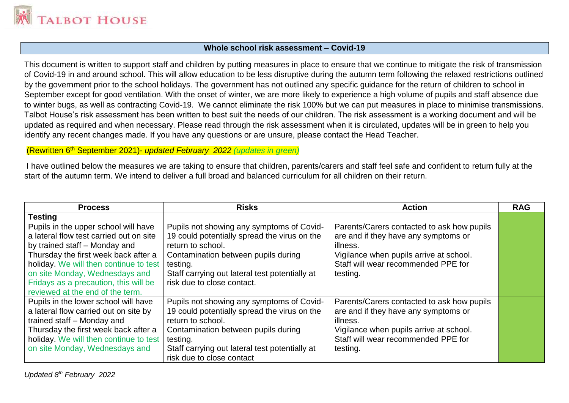

### **Whole school risk assessment – Covid-19**

This document is written to support staff and children by putting measures in place to ensure that we continue to mitigate the risk of transmission of Covid-19 in and around school. This will allow education to be less disruptive during the autumn term following the relaxed restrictions outlined by the government prior to the school holidays. The government has not outlined any specific guidance for the return of children to school in September except for good ventilation. With the onset of winter, we are more likely to experience a high volume of pupils and staff absence due to winter bugs, as well as contracting Covid-19. We cannot eliminate the risk 100% but we can put measures in place to minimise transmissions. Talbot House's risk assessment has been written to best suit the needs of our children. The risk assessment is a working document and will be updated as required and when necessary. Please read through the risk assessment when it is circulated, updates will be in green to help you identify any recent changes made. If you have any questions or are unsure, please contact the Head Teacher.

#### (Rewritten 6th September 2021)- *updated February 2022 (updates in green)*

I have outlined below the measures we are taking to ensure that children, parents/carers and staff feel safe and confident to return fully at the start of the autumn term. We intend to deliver a full broad and balanced curriculum for all children on their return.

| <b>Process</b>                          | <b>Risks</b>                                   | <b>Action</b>                              | <b>RAG</b> |
|-----------------------------------------|------------------------------------------------|--------------------------------------------|------------|
| <b>Testing</b>                          |                                                |                                            |            |
| Pupils in the upper school will have    | Pupils not showing any symptoms of Covid-      | Parents/Carers contacted to ask how pupils |            |
| a lateral flow test carried out on site | 19 could potentially spread the virus on the   | are and if they have any symptoms or       |            |
| by trained staff – Monday and           | return to school.                              | illness.                                   |            |
| Thursday the first week back after a    | Contamination between pupils during            | Vigilance when pupils arrive at school.    |            |
| holiday. We will then continue to test  | testing.                                       | Staff will wear recommended PPE for        |            |
| on site Monday, Wednesdays and          | Staff carrying out lateral test potentially at | testing.                                   |            |
| Fridays as a precaution, this will be   | risk due to close contact.                     |                                            |            |
| reviewed at the end of the term.        |                                                |                                            |            |
| Pupils in the lower school will have    | Pupils not showing any symptoms of Covid-      | Parents/Carers contacted to ask how pupils |            |
| a lateral flow carried out on site by   | 19 could potentially spread the virus on the   | are and if they have any symptoms or       |            |
| trained staff - Monday and              | return to school.                              | illness.                                   |            |
| Thursday the first week back after a    | Contamination between pupils during            | Vigilance when pupils arrive at school.    |            |
| holiday. We will then continue to test  | testing.                                       | Staff will wear recommended PPE for        |            |
| on site Monday, Wednesdays and          | Staff carrying out lateral test potentially at | testing.                                   |            |
|                                         | risk due to close contact                      |                                            |            |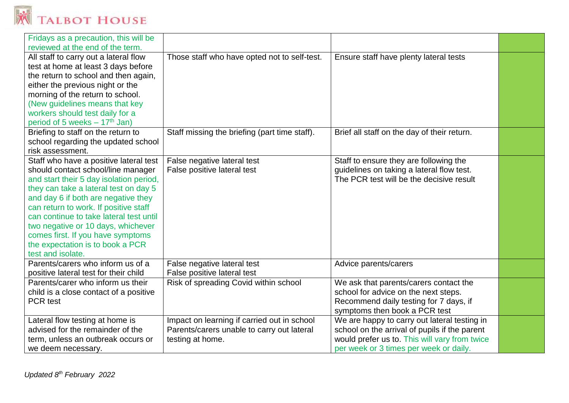

| Fridays as a precaution, this will be      |                                               |                                               |  |
|--------------------------------------------|-----------------------------------------------|-----------------------------------------------|--|
| reviewed at the end of the term.           |                                               |                                               |  |
| All staff to carry out a lateral flow      | Those staff who have opted not to self-test.  | Ensure staff have plenty lateral tests        |  |
| test at home at least 3 days before        |                                               |                                               |  |
| the return to school and then again,       |                                               |                                               |  |
| either the previous night or the           |                                               |                                               |  |
| morning of the return to school.           |                                               |                                               |  |
| (New guidelines means that key             |                                               |                                               |  |
| workers should test daily for a            |                                               |                                               |  |
| period of 5 weeks $-17$ <sup>th</sup> Jan) |                                               |                                               |  |
| Briefing to staff on the return to         | Staff missing the briefing (part time staff). | Brief all staff on the day of their return.   |  |
| school regarding the updated school        |                                               |                                               |  |
| risk assessment.                           |                                               |                                               |  |
| Staff who have a positive lateral test     | False negative lateral test                   | Staff to ensure they are following the        |  |
| should contact school/line manager         | False positive lateral test                   | guidelines on taking a lateral flow test.     |  |
| and start their 5 day isolation period,    |                                               | The PCR test will be the decisive result      |  |
| they can take a lateral test on day 5      |                                               |                                               |  |
| and day 6 if both are negative they        |                                               |                                               |  |
| can return to work. If positive staff      |                                               |                                               |  |
| can continue to take lateral test until    |                                               |                                               |  |
| two negative or 10 days, whichever         |                                               |                                               |  |
| comes first. If you have symptoms          |                                               |                                               |  |
| the expectation is to book a PCR           |                                               |                                               |  |
| test and isolate.                          |                                               |                                               |  |
| Parents/carers who inform us of a          | False negative lateral test                   | Advice parents/carers                         |  |
| positive lateral test for their child      | False positive lateral test                   |                                               |  |
| Parents/carer who inform us their          | Risk of spreading Covid within school         | We ask that parents/carers contact the        |  |
| child is a close contact of a positive     |                                               | school for advice on the next steps.          |  |
| <b>PCR</b> test                            |                                               | Recommend daily testing for 7 days, if        |  |
|                                            |                                               | symptoms then book a PCR test                 |  |
| Lateral flow testing at home is            | Impact on learning if carried out in school   | We are happy to carry out lateral testing in  |  |
| advised for the remainder of the           | Parents/carers unable to carry out lateral    | school on the arrival of pupils if the parent |  |
| term, unless an outbreak occurs or         | testing at home.                              | would prefer us to. This will vary from twice |  |
| we deem necessary.                         |                                               | per week or 3 times per week or daily.        |  |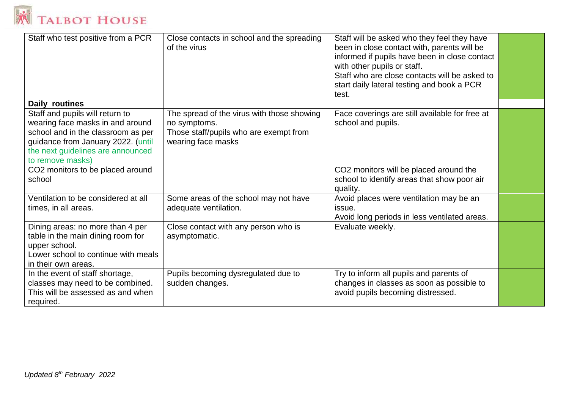

| Staff who test positive from a PCR                                                                                                                                                                       | Close contacts in school and the spreading<br>of the virus                                                                 | Staff will be asked who they feel they have<br>been in close contact with, parents will be<br>informed if pupils have been in close contact<br>with other pupils or staff.<br>Staff who are close contacts will be asked to<br>start daily lateral testing and book a PCR<br>test. |  |
|----------------------------------------------------------------------------------------------------------------------------------------------------------------------------------------------------------|----------------------------------------------------------------------------------------------------------------------------|------------------------------------------------------------------------------------------------------------------------------------------------------------------------------------------------------------------------------------------------------------------------------------|--|
| Daily routines                                                                                                                                                                                           |                                                                                                                            |                                                                                                                                                                                                                                                                                    |  |
| Staff and pupils will return to<br>wearing face masks in and around<br>school and in the classroom as per<br>guidance from January 2022. (until<br>the next guidelines are announced<br>to remove masks) | The spread of the virus with those showing<br>no symptoms.<br>Those staff/pupils who are exempt from<br>wearing face masks | Face coverings are still available for free at<br>school and pupils.                                                                                                                                                                                                               |  |
| CO2 monitors to be placed around<br>school                                                                                                                                                               |                                                                                                                            | CO2 monitors will be placed around the<br>school to identify areas that show poor air<br>quality.                                                                                                                                                                                  |  |
| Ventilation to be considered at all<br>times, in all areas.                                                                                                                                              | Some areas of the school may not have<br>adequate ventilation.                                                             | Avoid places were ventilation may be an<br>issue.<br>Avoid long periods in less ventilated areas.                                                                                                                                                                                  |  |
| Dining areas: no more than 4 per<br>table in the main dining room for<br>upper school.<br>Lower school to continue with meals<br>in their own areas.                                                     | Close contact with any person who is<br>asymptomatic.                                                                      | Evaluate weekly.                                                                                                                                                                                                                                                                   |  |
| In the event of staff shortage,<br>classes may need to be combined.<br>This will be assessed as and when<br>required.                                                                                    | Pupils becoming dysregulated due to<br>sudden changes.                                                                     | Try to inform all pupils and parents of<br>changes in classes as soon as possible to<br>avoid pupils becoming distressed.                                                                                                                                                          |  |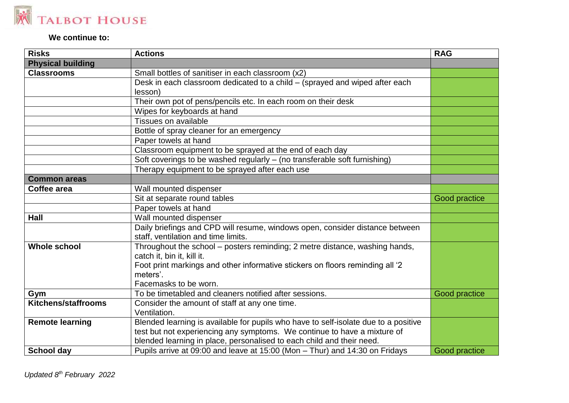

## **We continue to:**

| <b>Risks</b>             | <b>Actions</b>                                                                                                      | <b>RAG</b>    |
|--------------------------|---------------------------------------------------------------------------------------------------------------------|---------------|
| <b>Physical building</b> |                                                                                                                     |               |
| <b>Classrooms</b>        | Small bottles of sanitiser in each classroom (x2)                                                                   |               |
|                          | Desk in each classroom dedicated to a child - (sprayed and wiped after each                                         |               |
|                          | lesson)                                                                                                             |               |
|                          | Their own pot of pens/pencils etc. In each room on their desk                                                       |               |
|                          | Wipes for keyboards at hand                                                                                         |               |
|                          | <b>Tissues on available</b>                                                                                         |               |
|                          | Bottle of spray cleaner for an emergency                                                                            |               |
|                          | Paper towels at hand                                                                                                |               |
|                          | Classroom equipment to be sprayed at the end of each day                                                            |               |
|                          | Soft coverings to be washed regularly $-$ (no transferable soft furnishing)                                         |               |
|                          | Therapy equipment to be sprayed after each use                                                                      |               |
| <b>Common areas</b>      |                                                                                                                     |               |
| Coffee area              | Wall mounted dispenser                                                                                              |               |
|                          | Sit at separate round tables                                                                                        | Good practice |
|                          | Paper towels at hand                                                                                                |               |
| <b>Hall</b>              | Wall mounted dispenser                                                                                              |               |
|                          | Daily briefings and CPD will resume, windows open, consider distance between<br>staff, ventilation and time limits. |               |
| <b>Whole school</b>      | Throughout the school - posters reminding; 2 metre distance, washing hands,<br>catch it, bin it, kill it.           |               |
|                          | Foot print markings and other informative stickers on floors reminding all '2<br>meters'.                           |               |
|                          | Facemasks to be worn.                                                                                               |               |
| Gym                      | To be timetabled and cleaners notified after sessions.                                                              | Good practice |
| Kitchens/staffrooms      | Consider the amount of staff at any one time.                                                                       |               |
|                          | Ventilation.                                                                                                        |               |
| <b>Remote learning</b>   | Blended learning is available for pupils who have to self-isolate due to a positive                                 |               |
|                          | test but not experiencing any symptoms. We continue to have a mixture of                                            |               |
|                          | blended learning in place, personalised to each child and their need.                                               |               |
| <b>School day</b>        | Pupils arrive at 09:00 and leave at 15:00 (Mon - Thur) and 14:30 on Fridays                                         | Good practice |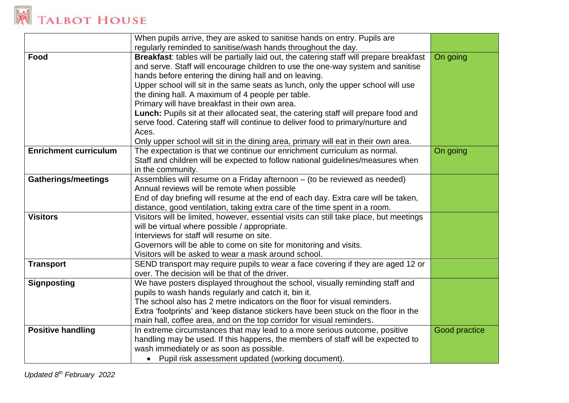# **K TALBOT HOUSE**

|                              | When pupils arrive, they are asked to sanitise hands on entry. Pupils are               |                      |
|------------------------------|-----------------------------------------------------------------------------------------|----------------------|
|                              | regularly reminded to sanitise/wash hands throughout the day.                           |                      |
| Food                         | Breakfast: tables will be partially laid out, the catering staff will prepare breakfast | On going             |
|                              | and serve. Staff will encourage children to use the one-way system and sanitise         |                      |
|                              | hands before entering the dining hall and on leaving.                                   |                      |
|                              | Upper school will sit in the same seats as lunch, only the upper school will use        |                      |
|                              | the dining hall. A maximum of 4 people per table.                                       |                      |
|                              | Primary will have breakfast in their own area.                                          |                      |
|                              | Lunch: Pupils sit at their allocated seat, the catering staff will prepare food and     |                      |
|                              | serve food. Catering staff will continue to deliver food to primary/nurture and         |                      |
|                              | Aces.                                                                                   |                      |
|                              | Only upper school will sit in the dining area, primary will eat in their own area.      |                      |
| <b>Enrichment curriculum</b> | The expectation is that we continue our enrichment curriculum as normal.                | On going             |
|                              | Staff and children will be expected to follow national guidelines/measures when         |                      |
|                              | in the community.                                                                       |                      |
| <b>Gatherings/meetings</b>   | Assemblies will resume on a Friday afternoon - (to be reviewed as needed)               |                      |
|                              | Annual reviews will be remote when possible                                             |                      |
|                              | End of day briefing will resume at the end of each day. Extra care will be taken,       |                      |
|                              | distance, good ventilation, taking extra care of the time spent in a room.              |                      |
| <b>Visitors</b>              | Visitors will be limited, however, essential visits can still take place, but meetings  |                      |
|                              | will be virtual where possible / appropriate.                                           |                      |
|                              | Interviews for staff will resume on site.                                               |                      |
|                              | Governors will be able to come on site for monitoring and visits.                       |                      |
|                              | Visitors will be asked to wear a mask around school.                                    |                      |
| <b>Transport</b>             | SEND transport may require pupils to wear a face covering if they are aged 12 or        |                      |
|                              | over. The decision will be that of the driver.                                          |                      |
| <b>Signposting</b>           | We have posters displayed throughout the school, visually reminding staff and           |                      |
|                              | pupils to wash hands regularly and catch it, bin it.                                    |                      |
|                              | The school also has 2 metre indicators on the floor for visual reminders.               |                      |
|                              | Extra 'footprints' and 'keep distance stickers have been stuck on the floor in the      |                      |
|                              | main hall, coffee area, and on the top corridor for visual reminders.                   |                      |
| <b>Positive handling</b>     | In extreme circumstances that may lead to a more serious outcome, positive              | <b>Good practice</b> |
|                              | handling may be used. If this happens, the members of staff will be expected to         |                      |
|                              | wash immediately or as soon as possible.                                                |                      |
|                              | • Pupil risk assessment updated (working document).                                     |                      |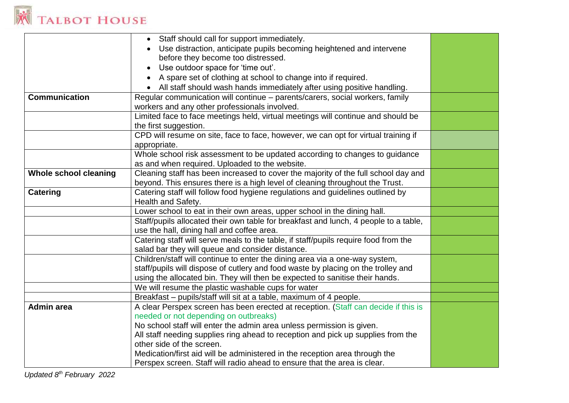

|                       | Staff should call for support immediately.<br>$\bullet$                              |  |
|-----------------------|--------------------------------------------------------------------------------------|--|
|                       | Use distraction, anticipate pupils becoming heightened and intervene                 |  |
|                       | before they become too distressed.                                                   |  |
|                       | Use outdoor space for 'time out'.                                                    |  |
|                       | A spare set of clothing at school to change into if required.                        |  |
|                       | All staff should wash hands immediately after using positive handling.               |  |
| Communication         | Regular communication will continue - parents/carers, social workers, family         |  |
|                       | workers and any other professionals involved.                                        |  |
|                       | Limited face to face meetings held, virtual meetings will continue and should be     |  |
|                       | the first suggestion.                                                                |  |
|                       | CPD will resume on site, face to face, however, we can opt for virtual training if   |  |
|                       | appropriate.                                                                         |  |
|                       | Whole school risk assessment to be updated according to changes to guidance          |  |
|                       | as and when required. Uploaded to the website.                                       |  |
| Whole school cleaning | Cleaning staff has been increased to cover the majority of the full school day and   |  |
|                       | beyond. This ensures there is a high level of cleaning throughout the Trust.         |  |
| <b>Catering</b>       | Catering staff will follow food hygiene regulations and guidelines outlined by       |  |
|                       | Health and Safety.                                                                   |  |
|                       | Lower school to eat in their own areas, upper school in the dining hall.             |  |
|                       | Staff/pupils allocated their own table for breakfast and lunch, 4 people to a table, |  |
|                       | use the hall, dining hall and coffee area.                                           |  |
|                       | Catering staff will serve meals to the table, if staff/pupils require food from the  |  |
|                       | salad bar they will queue and consider distance.                                     |  |
|                       | Children/staff will continue to enter the dining area via a one-way system,          |  |
|                       | staff/pupils will dispose of cutlery and food waste by placing on the trolley and    |  |
|                       | using the allocated bin. They will then be expected to sanitise their hands.         |  |
|                       | We will resume the plastic washable cups for water                                   |  |
|                       | Breakfast - pupils/staff will sit at a table, maximum of 4 people.                   |  |
| <b>Admin area</b>     | A clear Perspex screen has been erected at reception. (Staff can decide if this is   |  |
|                       | needed or not depending on outbreaks)                                                |  |
|                       | No school staff will enter the admin area unless permission is given.                |  |
|                       | All staff needing supplies ring ahead to reception and pick up supplies from the     |  |
|                       | other side of the screen.                                                            |  |
|                       | Medication/first aid will be administered in the reception area through the          |  |
|                       | Perspex screen. Staff will radio ahead to ensure that the area is clear.             |  |

*Updated 8 th February 2022*